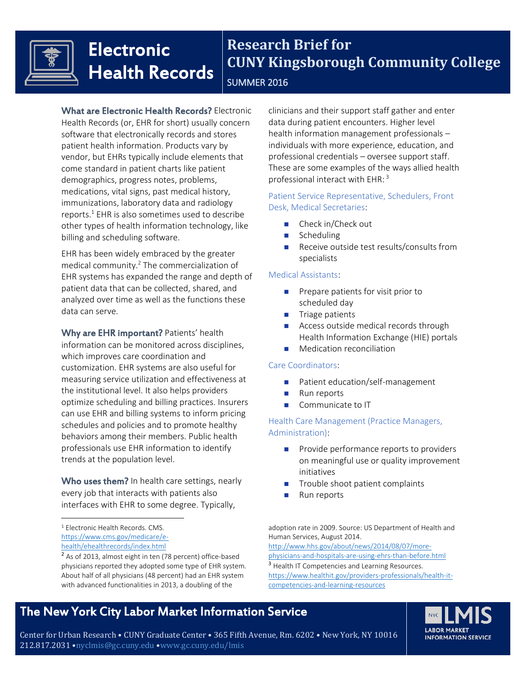

# **Electronic** Health Records

### **Research Brief for CUNY Kingsborough Community College** SUMMER 2016

What are Electronic Health Records? Electronic Health Records (or, EHR for short) usually concern software that electronically records and stores patient health information. Products vary by vendor, but EHRs typically include elements that come standard in patient charts like patient demographics, progress notes, problems, medications, vital signs, past medical history, immunizations, laboratory data and radiology reports. $1$  EHR is also sometimes used to describe other types of health information technology, like billing and scheduling software.

EHR has been widely embraced by the greater medical community.<sup>2</sup> The commercialization of EHR systems has expanded the range and depth of patient data that can be collected, shared, and analyzed over time as well as the functions these data can serve.

Why are EHR important? Patients' health information can be monitored across disciplines, which improves care coordination and customization. EHR systems are also useful for measuring service utilization and effectiveness at the institutional level. It also helps providers optimize scheduling and billing practices. Insurers can use EHR and billing systems to inform pricing schedules and policies and to promote healthy behaviors among their members. Public health professionals use EHR information to identify trends at the population level.

Who uses them? In health care settings, nearly every job that interacts with patients also interfaces with EHR to some degree. Typically,

 $\overline{a}$ 

clinicians and their support staff gather and enter data during patient encounters. Higher level health information management professionals – individuals with more experience, education, and professional credentials – oversee support staff. These are some examples of the ways allied health professional interact with EHR: <sup>3</sup>

### Patient Service Representative, Schedulers, Front Desk, Medical Secretaries:

- Check in/Check out
- Scheduling
- $\blacksquare$  Receive outside test results/consults from specialists

#### Medical Assistants:

- **Prepare patients for visit prior to** scheduled day
- $\blacksquare$  Triage patients
- Access outside medical records through Health Information Exchange (HIE) portals
- **Medication reconciliation**

#### Care Coordinators:

- Patient education/self-management
- Run reports
- Communicate to IT

Health Care Management (Practice Managers, Administration):

- **Provide performance reports to providers** on meaningful use or quality improvement initiatives
- Trouble shoot patient complaints
- Run reports

adoption rate in 2009. Source: US Department of Health and Human Services, August 2014.

[http://www.hhs.gov/about/news/2014/08/07/more](http://www.hhs.gov/about/news/2014/08/07/more-physicians-and-hospitals-are-using-ehrs-than-before.html)[physicians-and-hospitals-are-using-ehrs-than-before.html](http://www.hhs.gov/about/news/2014/08/07/more-physicians-and-hospitals-are-using-ehrs-than-before.html) <sup>3</sup> Health IT Competencies and Learning Resources. [https://www.healthit.gov/providers-professionals/health-it](https://www.healthit.gov/providers-professionals/health-it-competencies-and-learning-resources)[competencies-and-learning-resources](https://www.healthit.gov/providers-professionals/health-it-competencies-and-learning-resources)

### The New York City Labor Market Information Service



Center for Urban Research • CUNY Graduate Center • 365 Fifth Avenue, Rm. 6202 • New York, NY 10016 212.817.2031 •nyclmis@gc.cuny.edu •www.gc.cuny.edu/lmis

<sup>1</sup> Electronic Health Records. CMS. [https://www.cms.gov/medicare/e](https://www.cms.gov/medicare/e-health/ehealthrecords/index.html)[health/ehealthrecords/index.html](https://www.cms.gov/medicare/e-health/ehealthrecords/index.html)

<sup>2</sup> As of 2013, almost eight in ten (78 percent) office-based physicians reported they adopted some type of EHR system. About half of all physicians (48 percent) had an EHR system with advanced functionalities in 2013, a doubling of the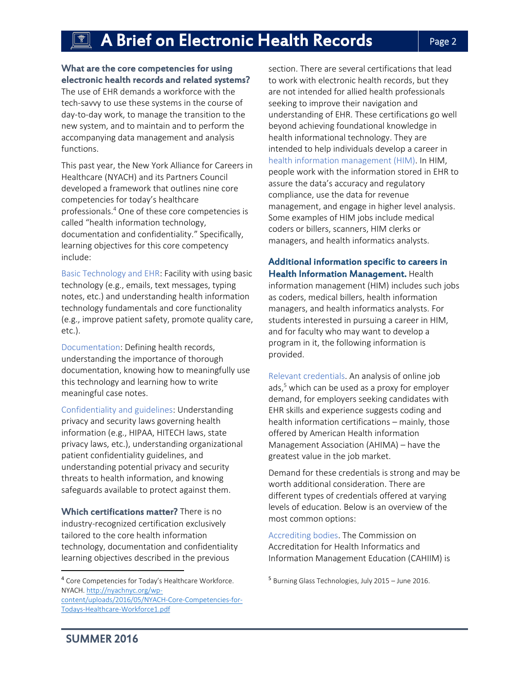#### What are the core competencies for using electronic health records and related systems?

The use of EHR demands a workforce with the tech-savvy to use these systems in the course of day-to-day work, to manage the transition to the new system, and to maintain and to perform the accompanying data management and analysis functions.

This past year, the New York Alliance for Careers in Healthcare (NYACH) and its Partners Council developed a framework that outlines nine core competencies for today's healthcare professionals. <sup>4</sup> One of these core competencies is called "health information technology, documentation and confidentiality." Specifically, learning objectives for this core competency include:

Basic Technology and EHR: Facility with using basic technology (e.g., emails, text messages, typing notes, etc.) and understanding health information technology fundamentals and core functionality (e.g., improve patient safety, promote quality care, etc.).

Documentation: Defining health records, understanding the importance of thorough documentation, knowing how to meaningfully use this technology and learning how to write meaningful case notes.

Confidentiality and guidelines: Understanding privacy and security laws governing health information (e.g., HIPAA, HITECH laws, state privacy laws, etc.), understanding organizational patient confidentiality guidelines, and understanding potential privacy and security threats to health information, and knowing safeguards available to protect against them.

Which certifications matter? There is no industry-recognized certification exclusively tailored to the core health information technology, documentation and confidentiality learning objectives described in the previous

<sup>4</sup> Core Competencies for Today's Healthcare Workforce. NYACH[. http://nyachnyc.org/wp](http://nyachnyc.org/wp-content/uploads/2016/05/NYACH-Core-Competencies-for-Todays-Healthcare-Workforce1.pdf)[content/uploads/2016/05/NYACH-Core-Competencies-for-](http://nyachnyc.org/wp-content/uploads/2016/05/NYACH-Core-Competencies-for-Todays-Healthcare-Workforce1.pdf)[Todays-Healthcare-Workforce1.pdf](http://nyachnyc.org/wp-content/uploads/2016/05/NYACH-Core-Competencies-for-Todays-Healthcare-Workforce1.pdf)

section. There are several certifications that lead to work with electronic health records, but they are not intended for allied health professionals seeking to improve their navigation and understanding of EHR. These certifications go well beyond achieving foundational knowledge in health informational technology. They are intended to help individuals develop a career in health information management (HIM). In HIM, people work with the information stored in EHR to assure the data's accuracy and regulatory compliance, use the data for revenue management, and engage in higher level analysis. Some examples of HIM jobs include medical coders or billers, scanners, HIM clerks or managers, and health informatics analysts.

### Additional information specific to careers in Health Information Management. Health

information management (HIM) includes such jobs as coders, medical billers, health information managers, and health informatics analysts. For students interested in pursuing a career in HIM, and for faculty who may want to develop a program in it, the following information is provided.

Relevant credentials. An analysis of online job ads,<sup>5</sup> which can be used as a proxy for employer demand, for employers seeking candidates with EHR skills and experience suggests coding and health information certifications – mainly, those offered by American Health information Management Association (AHIMA) – have the greatest value in the job market.

Demand for these credentials is strong and may be worth additional consideration. There are different types of credentials offered at varying levels of education. Below is an overview of the most common options:

Accrediting bodies. The Commission on Accreditation for Health Informatics and Information Management Education (CAHIIM) is

 $\overline{\phantom{a}}$ 

<sup>5</sup> Burning Glass Technologies, July 2015 – June 2016.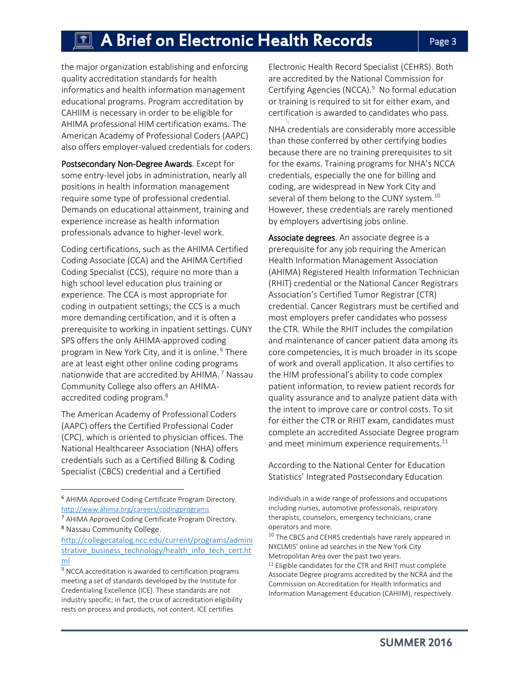### $\overline{\P}$  A Brief on Electronic Health Records  $\qquad \qquad \qquad \text{Page 3}$

the major organization establishing and enforcing quality accreditation standards for health informatics and health information management educational programs. Program accreditation by CAHIIM is necessary in order to be eligible for AHIMA professional HIM certification exams. The American Academy of Professional Coders (AAPC) also offers employer-valued credentials for coders.

Postsecondary Non-Degree Awards. Except for some entry-level jobs in administration, nearly all positions in health information management require some type of professional credential. Demands on educational attainment, training and experience increase as health information professionals advance to higher-level work.

Coding certifications, such as the AHIMA Certified Coding Associate (CCA) and the AHIMA Certified Coding Specialist (CCS), require no more than a high school level education plus training or experience. The CCA is most appropriate for coding in outpatient settings; the CCS is a much more demanding certification, and it is often a prerequisite to working in inpatient settings. CUNY SPS offers the only AHIMA-approved coding program in New York City, and it is online. <sup>6</sup> There are at least eight other online coding programs nationwide that are accredited by AHIMA.<sup>7</sup> Nassau Community College also offers an AHIMAaccredited coding program.<sup>8</sup>

The American Academy of Professional Coders (AAPC) offers the Certified Professional Coder (CPC), which is oriented to physician offices. The National Healthcareer Association (NHA) offers credentials such as a Certified Billing & Coding Specialist (CBCS) credential and a Certified

 $\overline{\phantom{a}}$ 

Electronic Health Record Specialist (CEHRS). Both are accredited by the National Commission for Certifying Agencies (NCCA).<sup>9</sup> No formal education or training is required to sit for either exam, and certification is awarded to candidates who pass.

NHA credentials are considerably more accessible than those conferred by other certifying bodies because there are no training prerequisites to sit for the exams. Training programs for NHA's NCCA credentials, especially the one for billing and coding, are widespread in New York City and several of them belong to the CUNY system.<sup>10</sup> However, these credentials are rarely mentioned by employers advertising jobs online.

Associate degrees. An associate degree is a prerequisite for any job requiring the American Health Information Management Association (AHIMA) Registered Health Information Technician (RHIT) credential or the National Cancer Registrars Association's Certified Tumor Registrar (CTR) credential. Cancer Registrars must be certified and most employers prefer candidates who possess the CTR. While the RHIT includes the compilation and maintenance of cancer patient data among its core competencies, it is much broader in its scope of work and overall application. It also certifies to the HIM professional's ability to code complex patient information, to review patient records for quality assurance and to analyze patient data with the intent to improve care or control costs. To sit for either the CTR or RHIT exam, candidates must complete an accredited Associate Degree program and meet minimum experience requirements. $^{11}$ 

According to the National Center for Education Statistics' Integrated Postsecondary Education

<sup>6</sup> AHIMA Approved Coding Certificate Program Directory. <http://www.ahima.org/careers/codingprograms>

<sup>7</sup> AHIMA Approved Coding Certificate Program Directory. <sup>8</sup> Nassau Community College.

[http://collegecatalog.ncc.edu/current/programs/admini](http://collegecatalog.ncc.edu/current/programs/administrative_business_technology/health_info_tech_cert.html) [strative\\_business\\_technology/health\\_info\\_tech\\_cert.ht](http://collegecatalog.ncc.edu/current/programs/administrative_business_technology/health_info_tech_cert.html) [ml](http://collegecatalog.ncc.edu/current/programs/administrative_business_technology/health_info_tech_cert.html)

<sup>&</sup>lt;sup>9</sup> NCCA accreditation is awarded to certification programs meeting a set of standards developed by the Institute for Credentialing Excellence (ICE). These standards are not industry specific; in fact, the crux of accreditation eligibility rests on process and products, not content. ICE certifies

individuals in a wide range of professions and occupations including nurses, automotive professionals, respiratory therapists, counselors, emergency technicians, crane operators and more.

 $10$  The CBCS and CEHRS credentials have rarely appeared in NYCLMIS' online ad searches in the New York City Metropolitan Area over the past two years. <sup>11</sup> Eligible candidates for the CTR and RHIT must complete Associate Degree programs accredited by the NCRA and the Commission on Accreditation for Health Informatics and Information Management Education (CAHIIM), respectively.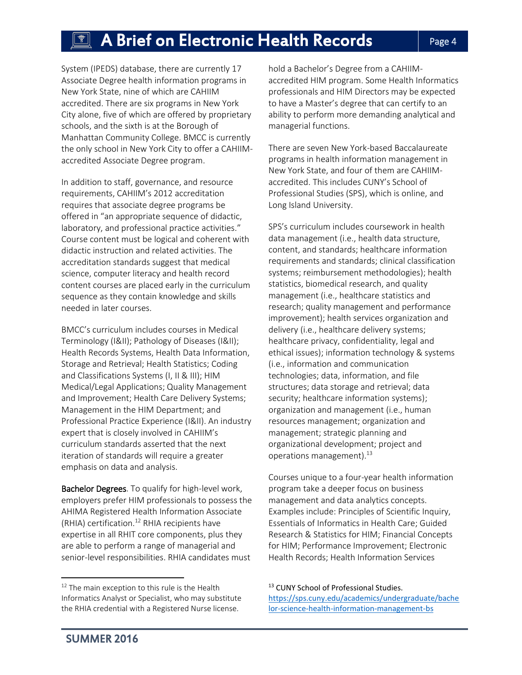## $\left[\begin{array}{ccc}\mathbb{R}\mathbb{R} & \mathsf{A}\end{array}\right]$  A Brief on Electronic Health Records  $\left[\begin{array}{ccc} \mathsf{P}_{\mathsf{age}\,4}\end{array}\right]$

System (IPEDS) database, there are currently 17 Associate Degree health information programs in New York State, nine of which are CAHIIM accredited. There are six programs in New York City alone, five of which are offered by proprietary schools, and the sixth is at the Borough of Manhattan Community College. BMCC is currently the only school in New York City to offer a CAHIIMaccredited Associate Degree program.

In addition to staff, governance, and resource requirements, CAHIIM's 2012 accreditation requires that associate degree programs be offered in "an appropriate sequence of didactic, laboratory, and professional practice activities." Course content must be logical and coherent with didactic instruction and related activities. The accreditation standards suggest that medical science, computer literacy and health record content courses are placed early in the curriculum sequence as they contain knowledge and skills needed in later courses.

BMCC's curriculum includes courses in Medical Terminology (I&II); Pathology of Diseases (I&II); Health Records Systems, Health Data Information, Storage and Retrieval; Health Statistics; Coding and Classifications Systems (I, II & III); HIM Medical/Legal Applications; Quality Management and Improvement; Health Care Delivery Systems; Management in the HIM Department; and Professional Practice Experience (I&II). An industry expert that is closely involved in CAHIIM's curriculum standards asserted that the next iteration of standards will require a greater emphasis on data and analysis.

Bachelor Degrees. To qualify for high-level work, employers prefer HIM professionals to possess the AHIMA Registered Health Information Associate (RHIA) certification.<sup>12</sup> RHIA recipients have expertise in all RHIT core components, plus they are able to perform a range of managerial and senior-level responsibilities. RHIA candidates must

hold a Bachelor's Degree from a CAHIIMaccredited HIM program. Some Health Informatics professionals and HIM Directors may be expected to have a Master's degree that can certify to an ability to perform more demanding analytical and managerial functions.

There are seven New York-based Baccalaureate programs in health information management in New York State, and four of them are CAHIIMaccredited. This includes CUNY's School of Professional Studies (SPS), which is online, and Long Island University.

SPS's curriculum includes coursework in health data management (i.e., health data structure, content, and standards; healthcare information requirements and standards; clinical classification systems; reimbursement methodologies); health statistics, biomedical research, and quality management (i.e., healthcare statistics and research; quality management and performance improvement); health services organization and delivery (i.e., healthcare delivery systems; healthcare privacy, confidentiality, legal and ethical issues); information technology & systems (i.e., information and communication technologies; data, information, and file structures; data storage and retrieval; data security; healthcare information systems); organization and management (i.e., human resources management; organization and management; strategic planning and organizational development; project and operations management).<sup>13</sup>

Courses unique to a four-year health information program take a deeper focus on business management and data analytics concepts. Examples include: Principles of Scientific Inquiry, Essentials of Informatics in Health Care; Guided Research & Statistics for HIM; Financial Concepts for HIM; Performance Improvement; Electronic Health Records; Health Information Services

<sup>13</sup> CUNY School of Professional Studies. [https://sps.cuny.edu/academics/undergraduate/bache](https://sps.cuny.edu/academics/undergraduate/bachelor-science-health-information-management-bs) [lor-science-health-information-management-bs](https://sps.cuny.edu/academics/undergraduate/bachelor-science-health-information-management-bs)

 $\overline{\phantom{a}}$ 

<sup>&</sup>lt;sup>12</sup> The main exception to this rule is the Health Informatics Analyst or Specialist, who may substitute the RHIA credential with a Registered Nurse license.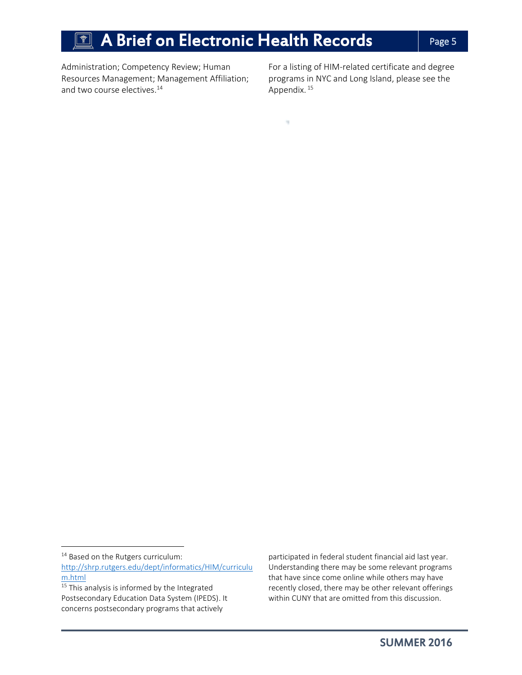## $\overline{\P}$  A Brief on Electronic Health Records  $\qquad \qquad \mid$  Page 5

 $\mathcal{H}_{\mathcal{C}}$ 

Administration; Competency Review; Human Resources Management; Management Affiliation; and two course electives.<sup>14</sup>

For a listing of HIM-related certificate and degree programs in NYC and Long Island, please see the Appendix.<sup>15</sup>

 $\overline{a}$ 

participated in federal student financial aid last year. Understanding there may be some relevant programs that have since come online while others may have recently closed, there may be other relevant offerings within CUNY that are omitted from this discussion.

<sup>&</sup>lt;sup>14</sup> Based on the Rutgers curriculum:

[http://shrp.rutgers.edu/dept/informatics/HIM/curriculu](http://shrp.rutgers.edu/dept/informatics/HIM/curriculum.html) [m.html](http://shrp.rutgers.edu/dept/informatics/HIM/curriculum.html)

<sup>&</sup>lt;sup>15</sup> This analysis is informed by the Integrated Postsecondary Education Data System (IPEDS). It concerns postsecondary programs that actively